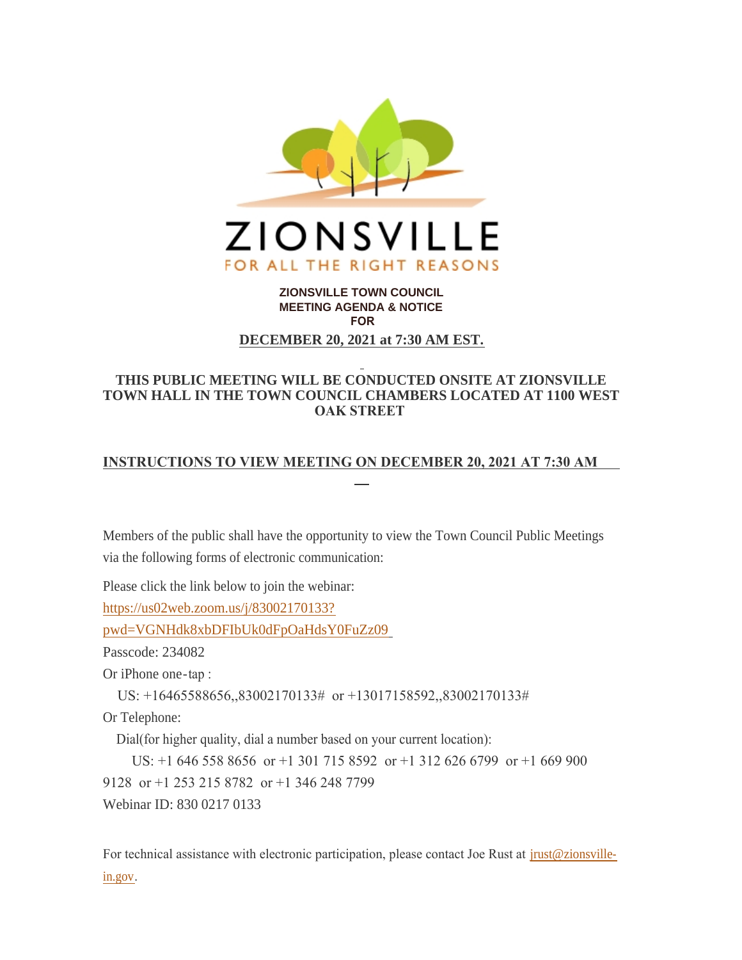

# **ZIONSVILLE TOWN COUNCIL MEETING AGENDA & NOTICE FOR DECEMBER 20, 2021 at 7:30 AM EST.**

# **THIS PUBLIC MEETING WILL BE CONDUCTED ONSITE AT ZIONSVILLE TOWN HALL IN THE TOWN COUNCIL CHAMBERS LOCATED AT 1100 WEST OAK STREET**

# **INSTRUCTIONS TO VIEW MEETING ON DECEMBER 20, 2021 AT 7:30 AM**

Members of the public shall have the opportunity to view the Town Council Public Meetings via the following forms of electronic communication:

Please click the link below to join the webinar:

https://us02web.zoom.us/j/83002170133?

[pwd=VGNHdk8xbDFIbUk0dFpOaHdsY0FuZz09](https://us02web.zoom.us/j/83002170133?pwd=VGNHdk8xbDFIbUk0dFpOaHdsY0FuZz09)

Passcode: 234082

Or iPhone one-tap :

US: +16465588656,,83002170133# or +13017158592,,83002170133#

Or Telephone:

Dial(for higher quality, dial a number based on your current location):

 US: +1 646 558 8656 or +1 301 715 8592 or +1 312 626 6799 or +1 669 900 9128 or +1 253 215 8782 or +1 346 248 7799 Webinar ID: 830 0217 0133

For technical assistance with electronic participation, please contact Joe Rust at *jrust@zionsville*in.gov.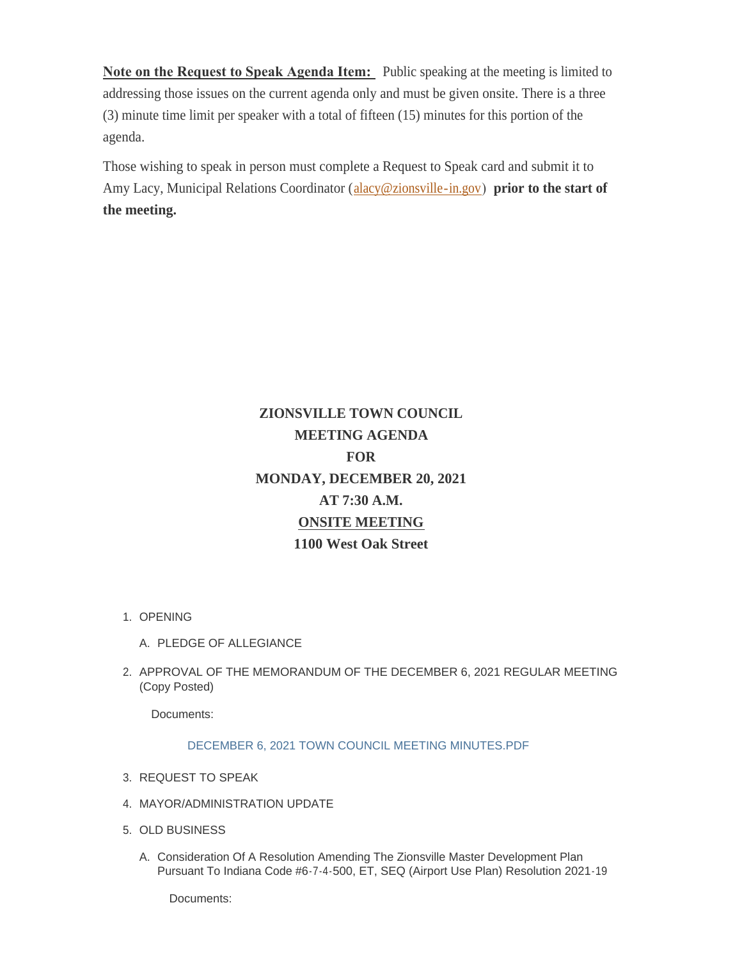**Note on the Request to Speak Agenda Item:** Public speaking at the meeting is limited to addressing those issues on the current agenda only and must be given onsite. There is a three (3) minute time limit per speaker with a total of fifteen (15) minutes for this portion of the agenda.

Those wishing to speak in person must complete a Request to Speak card and submit it to Amy Lacy, Municipal Relations Coordinator ([alacy@zionsville-in.gov](mailto:alacy@zionsville-in.gov)) **prior to the start of the meeting.**

# **ZIONSVILLE TOWN COUNCIL MEETING AGENDA FOR MONDAY, DECEMBER 20, 2021 AT 7:30 A.M. ONSITE MEETING 1100 West Oak Street**

- 1. OPENING
	- A. PLEDGE OF ALLEGIANCE
- 2. APPROVAL OF THE MEMORANDUM OF THE DECEMBER 6, 2021 REGULAR MEETING (Copy Posted)

Documents:

## [DECEMBER 6, 2021 TOWN COUNCIL MEETING MINUTES.PDF](http://www.zionsville-in.gov/AgendaCenter/ViewFile/Item/3098?fileID=3855)

- 3. REQUEST TO SPEAK
- MAYOR/ADMINISTRATION UPDATE 4.
- 5. OLD BUSINESS
	- A. Consideration Of A Resolution Amending The Zionsville Master Development Plan Pursuant To Indiana Code #6-7-4-500, ET, SEQ (Airport Use Plan) Resolution 2021-19

Documents: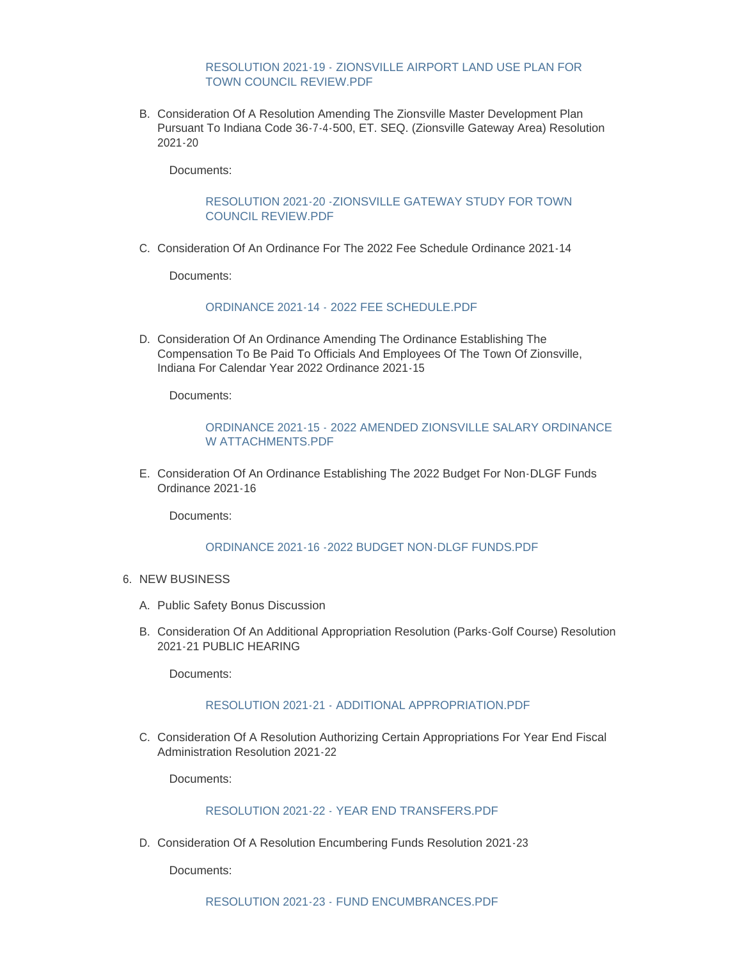[RESOLUTION 2021-19 - ZIONSVILLE AIRPORT LAND USE PLAN FOR](http://www.zionsville-in.gov/AgendaCenter/ViewFile/Item/3100?fileID=3856)  TOWN COUNCIL REVIEW.PDF

B. Consideration Of A Resolution Amending The Zionsville Master Development Plan Pursuant To Indiana Code 36-7-4-500, ET. SEQ. (Zionsville Gateway Area) Resolution 2021-20

Documents:

## [RESOLUTION 2021-20 -ZIONSVILLE GATEWAY STUDY FOR TOWN](http://www.zionsville-in.gov/AgendaCenter/ViewFile/Item/3101?fileID=3857)  COUNCIL REVIEW.PDF

C. Consideration Of An Ordinance For The 2022 Fee Schedule Ordinance 2021-14

Documents:

#### [ORDINANCE 2021-14 - 2022 FEE SCHEDULE.PDF](http://www.zionsville-in.gov/AgendaCenter/ViewFile/Item/3102?fileID=3858)

D. Consideration Of An Ordinance Amending The Ordinance Establishing The Compensation To Be Paid To Officials And Employees Of The Town Of Zionsville, Indiana For Calendar Year 2022 Ordinance 2021-15

Documents:

# [ORDINANCE 2021-15 - 2022 AMENDED ZIONSVILLE SALARY ORDINANCE](http://www.zionsville-in.gov/AgendaCenter/ViewFile/Item/3103?fileID=3859)  W ATTACHMENTS.PDF

E. Consideration Of An Ordinance Establishing The 2022 Budget For Non-DLGF Funds Ordinance 2021-16

Documents:

#### [ORDINANCE 2021-16 -2022 BUDGET NON-DLGF FUNDS.PDF](http://www.zionsville-in.gov/AgendaCenter/ViewFile/Item/3104?fileID=3860)

- 6. NEW BUSINESS
	- A. Public Safety Bonus Discussion
	- B. Consideration Of An Additional Appropriation Resolution (Parks-Golf Course) Resolution 2021-21 PUBLIC HEARING

Documents:

#### [RESOLUTION 2021-21 - ADDITIONAL APPROPRIATION.PDF](http://www.zionsville-in.gov/AgendaCenter/ViewFile/Item/3106?fileID=3861)

C. Consideration Of A Resolution Authorizing Certain Appropriations For Year End Fiscal Administration Resolution 2021-22

Documents:

## [RESOLUTION 2021-22 - YEAR END TRANSFERS.PDF](http://www.zionsville-in.gov/AgendaCenter/ViewFile/Item/3107?fileID=3862)

Consideration Of A Resolution Encumbering Funds Resolution 2021-23 D.

Documents: